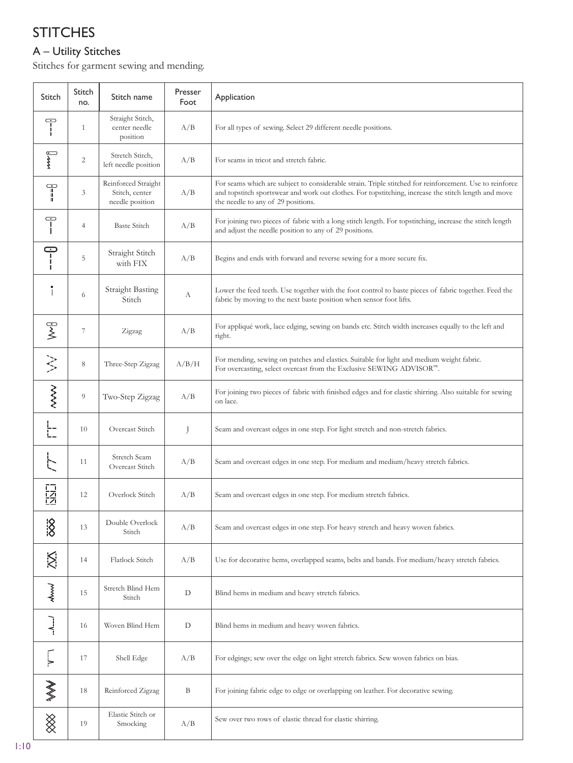# **STITCHES**

## A – Utility Stitches

Stitches for garment sewing and mending.

| Stitch                                                               | Stitch<br>no. | Stitch name                                              | Presser<br>Foot | Application                                                                                                                                                                                                                                           |
|----------------------------------------------------------------------|---------------|----------------------------------------------------------|-----------------|-------------------------------------------------------------------------------------------------------------------------------------------------------------------------------------------------------------------------------------------------------|
| $\overline{\mathbb{F}}$                                              | $\mathbf{1}$  | Straight Stitch,<br>center needle<br>position            | A/B             | For all types of sewing. Select 29 different needle positions.                                                                                                                                                                                        |
| $\sum_{\tau}$                                                        | 2             | Stretch Stitch,<br>left needle position                  | A/B             | For seams in tricot and stretch fabric.                                                                                                                                                                                                               |
| $\begin{aligned} \mathbf{y} = \mathbf{y} = \mathbf{y} \end{aligned}$ | 3             | Reinforced Straight<br>Stitch, center<br>needle position | A/B             | For seams which are subject to considerable strain. Triple stitched for reinforcement. Use to reinforce<br>and topstitch sportswear and work out clothes. For topstitching, increase the stitch length and move<br>the needle to any of 29 positions. |
| $\overline{\mathsf{T}}$                                              | 4             | <b>Baste Stitch</b>                                      | A/B             | For joining two pieces of fabric with a long stitch length. For topstitching, increase the stitch length<br>and adjust the needle position to any of 29 positions.                                                                                    |
| $-1$                                                                 | 5             | Straight Stitch<br>with FIX                              | A/B             | Begins and ends with forward and reverse sewing for a more secure fix.                                                                                                                                                                                |
| Î                                                                    | 6             | <b>Straight Basting</b><br>Stitch                        | А               | Lower the feed teeth. Use together with the foot control to baste pieces of fabric together. Feed the<br>fabric by moving to the next baste position when sensor foot lifts.                                                                          |
| $\widetilde{\succ}$                                                  | 7             | Zigzag                                                   | A/B             | For appliqué work, lace edging, sewing on bands etc. Stitch width increases equally to the left and<br>right.                                                                                                                                         |
| $\frac{1}{2}$                                                        | 8             | Three-Step Zigzag                                        | A/B/H           | For mending, sewing on patches and elastics. Suitable for light and medium weight fabric.<br>For overcasting, select overcast from the Exclusive SEWING ADVISOR™.                                                                                     |
| <b>NAMI</b>                                                          | 9             | Two-Step Zigzag                                          | A/B             | For joining two pieces of fabric with finished edges and for elastic shirring. Also suitable for sewing<br>on lace.                                                                                                                                   |
|                                                                      | 10            | Overcast Stitch                                          | J               | Seam and overcast edges in one step. For light stretch and non-stretch fabrics.                                                                                                                                                                       |
|                                                                      | 11            | Stretch Seam<br>Overcast Stitch                          | A/B             | Seam and overcast edges in one step. For medium and medium/heavy stretch fabrics.                                                                                                                                                                     |
| 同位                                                                   | 12            | Overlock Stitch                                          | A/B             | Seam and overcast edges in one step. For medium stretch fabrics.                                                                                                                                                                                      |
| $\frac{1}{8}$                                                        | 13            | Double Overlock<br>Stitch                                | A/B             | Seam and overcast edges in one step. For heavy stretch and heavy woven fabrics.                                                                                                                                                                       |
| Ķ                                                                    | 14            | Flatlock Stitch                                          | A/B             | Use for decorative hems, overlapped seams, belts and bands. For medium/heavy stretch fabrics.                                                                                                                                                         |
| M                                                                    | 15            | Stretch Blind Hem<br>Stitch                              | D               | Blind hems in medium and heavy stretch fabrics.                                                                                                                                                                                                       |
| $\lambda$                                                            | 16            | Woven Blind Hem                                          | D               | Blind hems in medium and heavy woven fabrics.                                                                                                                                                                                                         |
|                                                                      | 17            | Shell Edge                                               | A/B             | For edgings; sew over the edge on light stretch fabrics. Sew woven fabrics on bias.                                                                                                                                                                   |
| $\gg$                                                                | 18            | Reinforced Zigzag                                        | B               | For joining fabric edge to edge or overlapping on leather. For decorative sewing.                                                                                                                                                                     |
| $\bigotimes$                                                         | 19            | Elastic Stitch or<br>Smocking                            | A/B             | Sew over two rows of elastic thread for elastic shirring.                                                                                                                                                                                             |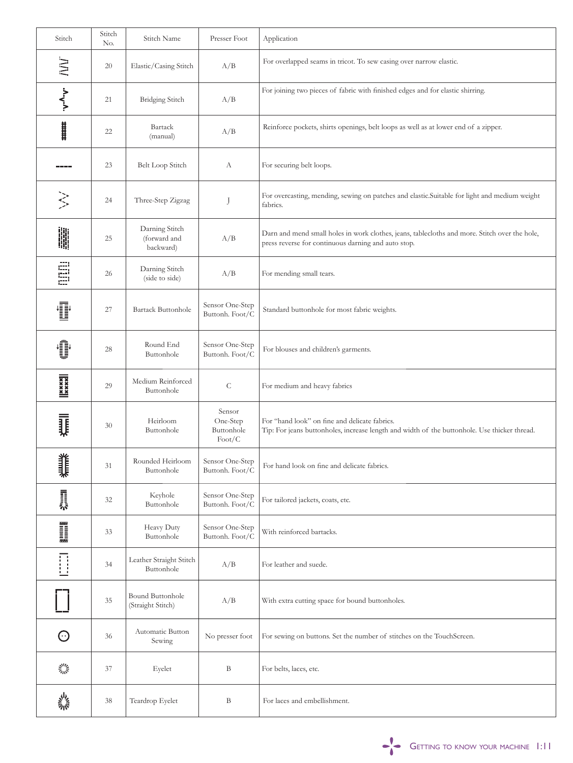| Stitch                                                                                                                                                                                                                         | Stitch<br>No. | Stitch Name                                 | Presser Foot                                               | Application                                                                                                                                          |
|--------------------------------------------------------------------------------------------------------------------------------------------------------------------------------------------------------------------------------|---------------|---------------------------------------------|------------------------------------------------------------|------------------------------------------------------------------------------------------------------------------------------------------------------|
| <b>NN</b>                                                                                                                                                                                                                      | 20            | Elastic/Casing Stitch                       | A/B                                                        | For overlapped seams in tricot. To sew casing over narrow elastic.                                                                                   |
| $V_{\lambda}$                                                                                                                                                                                                                  | 21            | <b>Bridging Stitch</b>                      | A/B                                                        | For joining two pieces of fabric with finished edges and for elastic shirring.                                                                       |
| <br>                                                                                                                                                                                                                           | 22            | Bartack<br>(manual)                         | A/B                                                        | Reinforce pockets, shirts openings, belt loops as well as at lower end of a zipper.                                                                  |
|                                                                                                                                                                                                                                | 23            | <b>Belt Loop Stitch</b>                     | А                                                          | For securing belt loops.                                                                                                                             |
| $\left\langle \right\rangle$                                                                                                                                                                                                   | 24            | Three-Step Zigzag                           | J                                                          | For overcasting, mending, sewing on patches and elastic.Suitable for light and medium weight<br>fabrics.                                             |
| 鷳                                                                                                                                                                                                                              | 25            | Darning Stitch<br>(forward and<br>backward) | A/B                                                        | Darn and mend small holes in work clothes, jeans, tablecloths and more. Stitch over the hole,<br>press reverse for continuous darning and auto stop. |
| E                                                                                                                                                                                                                              | 26            | Darning Stitch<br>(side to side)            | A/B                                                        | For mending small tears.                                                                                                                             |
| T                                                                                                                                                                                                                              | 27            | <b>Bartack Buttonhole</b>                   | Sensor One-Step<br>Buttonh. Foot/C                         | Standard buttonhole for most fabric weights.                                                                                                         |
| ◑                                                                                                                                                                                                                              | 28            | Round End<br>Buttonhole                     | Sensor One-Step<br>Buttonh. Foot/C                         | For blouses and children's garments.                                                                                                                 |
| $\frac{ \mathbf{x} \times \mathbf{x} }{ \mathbf{x} }$                                                                                                                                                                          | 29            | Medium Reinforced<br>Buttonhole             | $\mathsf C$                                                | For medium and heavy fabrics                                                                                                                         |
| Į                                                                                                                                                                                                                              | 30            | Heirloom<br>Buttonhole                      | Sensor<br>One-Step<br>Buttonhole<br>$\text{foot}/\text{C}$ | For "hand look" on fine and delicate fabrics.<br>Tip: For jeans buttonholes, increase length and width of the buttonhole. Use thicker thread.        |
| 美非                                                                                                                                                                                                                             | 31            | Rounded Heirloom<br>Buttonhole              | Sensor One-Step<br>Buttonh. Foot/C                         | For hand look on fine and delicate fabrics.                                                                                                          |
| 最终                                                                                                                                                                                                                             | 32            | Keyhole<br>Buttonhole                       | Sensor One-Step<br>Buttonh. Foot/C                         | For tailored jackets, coats, etc.                                                                                                                    |
| The Contract of the Contract of the Contract of the Contract of the Contract of the Contract of the Contract of the Contract of the Contract of the Contract of the Contract of the Contract of the Contract of the Contract o | 33            | Heavy Duty<br>Buttonhole                    | Sensor One-Step<br>Buttonh. Foot/C                         | With reinforced bartacks.                                                                                                                            |
|                                                                                                                                                                                                                                | 34            | Leather Straight Stitch<br>Buttonhole       | A/B                                                        | For leather and suede.                                                                                                                               |
|                                                                                                                                                                                                                                | $35\,$        | Bound Buttonhole<br>(Straight Stitch)       | A/B                                                        | With extra cutting space for bound buttonholes.                                                                                                      |
| $\odot$                                                                                                                                                                                                                        | 36            | Automatic Button<br>Sewing                  | No presser foot                                            | For sewing on buttons. Set the number of stitches on the TouchScreen.                                                                                |
| 美学                                                                                                                                                                                                                             | 37            | Eyelet                                      | $\, {\bf B}$                                               | For belts, laces, etc.                                                                                                                               |
| 小き                                                                                                                                                                                                                             | 38            | Teardrop Eyelet                             | B                                                          | For laces and embellishment.                                                                                                                         |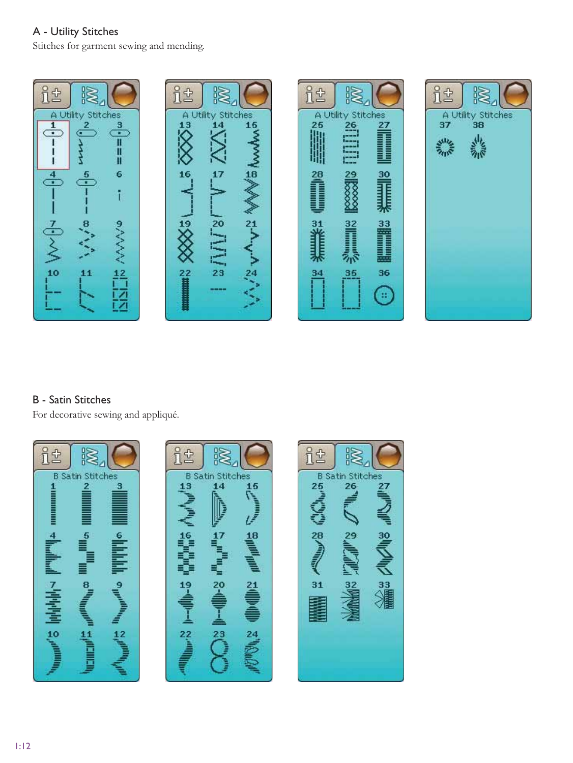## A - Utility Stitches

Stitches for garment sewing and mending.



#### **B** - Satin Stitches

For decorative sewing and appliqué.

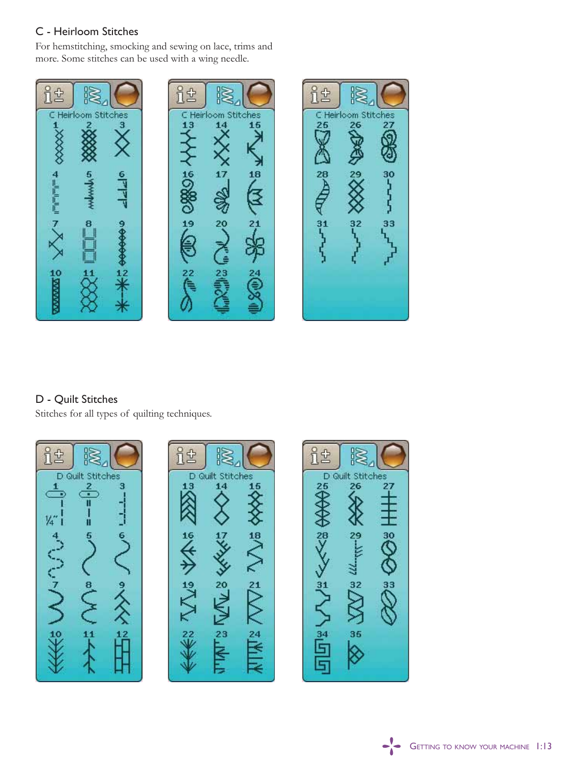### C - Heirloom Stitches

For hemstitching, smocking and sewing on lace, trims and more. Some stitches can be used with a wing needle.



## D - Quilt Stitches

Stitches for all types of quilting techniques.

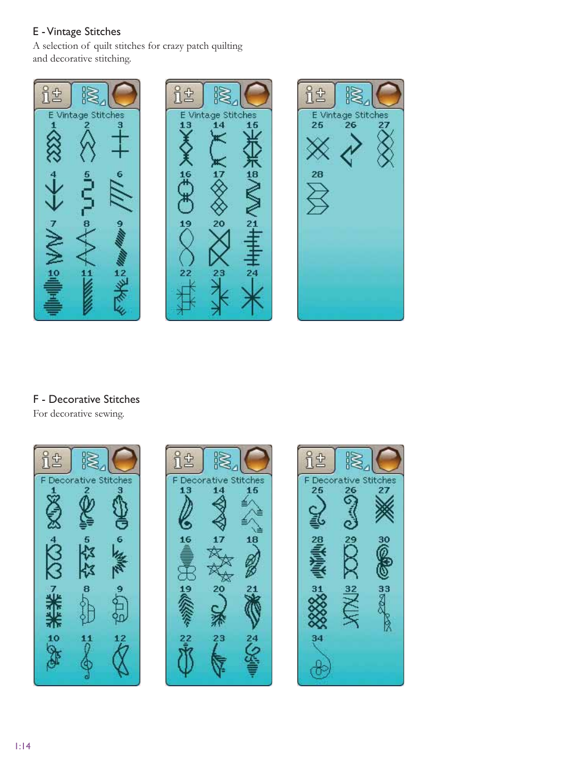#### E - Vintage Stitches

A selection of quilt stitches for crazy patch quilting and decorative stitching.



### F - Decorative Stitches

For decorative sewing.

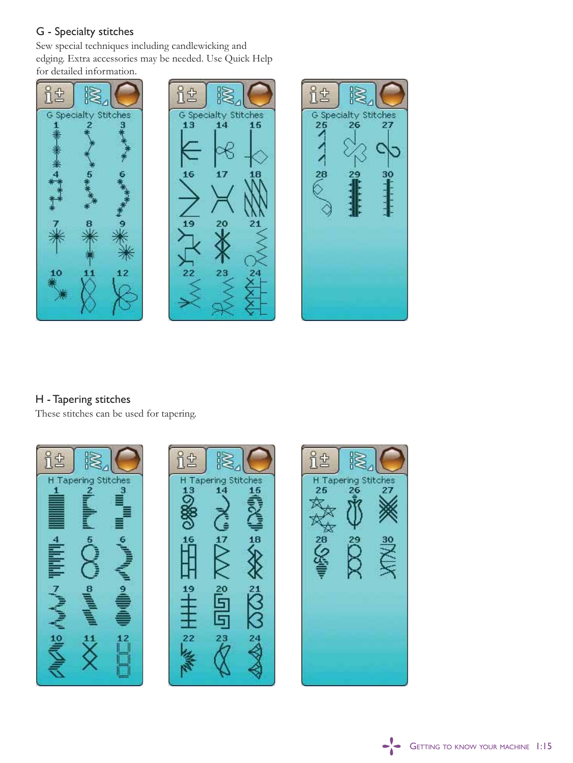#### G - Specialty stitches

Sew special techniques including candlewicking and edging. Extra accessories may be needed. Use Quick Help for detailed information.



### H - Tapering stitches

These stitches can be used for tapering.





 $\frac{1}{2}$